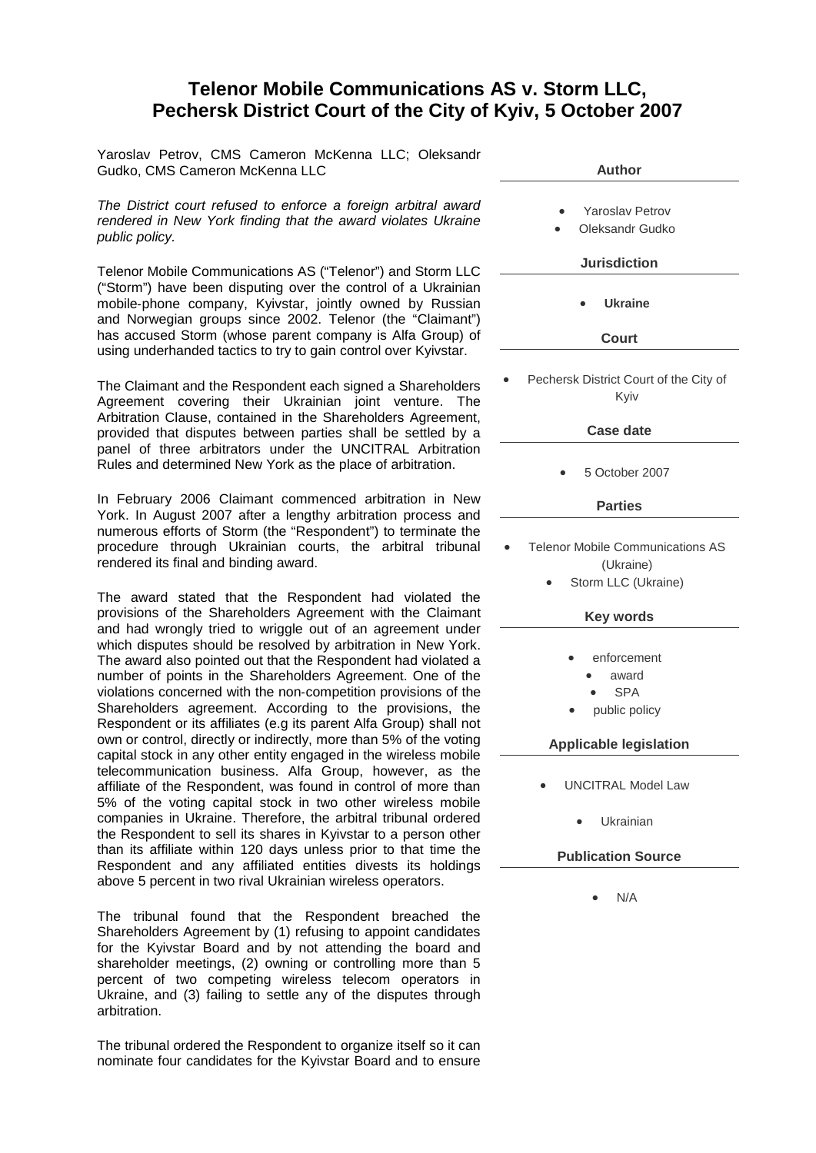## **Telenor Mobile Communications AS v. Storm LLC, Pechersk District Court of the City of Kyiv, 5 October 2007**

Yaroslav Petrov, CMS Cameron McKenna LLC; Oleksandr Gudko, CMS Cameron McKenna LLC

*The District court refused to enforce a foreign arbitral award rendered in New York finding that the award violates Ukraine public policy.*

Telenor Mobile Communications AS ("Telenor") and Storm LLC ("Storm") have been disputing over the control of a Ukrainian mobile-phone company, Kyivstar, jointly owned by Russian and Norwegian groups since 2002. Telenor (the "Claimant") has accused Storm (whose parent company is Alfa Group) of using underhanded tactics to try to gain control over Kyivstar.

The Claimant and the Respondent each signed a Shareholders Agreement covering their Ukrainian joint venture. The Arbitration Clause, contained in the Shareholders Agreement, provided that disputes between parties shall be settled by a panel of three arbitrators under the UNCITRAL Arbitration Rules and determined New York as the place of arbitration.

In February 2006 Claimant commenced arbitration in New York. In August 2007 after a lengthy arbitration process and numerous efforts of Storm (the "Respondent") to terminate the procedure through Ukrainian courts, the arbitral tribunal rendered its final and binding award.

The award stated that the Respondent had violated the provisions of the Shareholders Agreement with the Claimant and had wrongly tried to wriggle out of an agreement under which disputes should be resolved by arbitration in New York. The award also pointed out that the Respondent had violated a number of points in the Shareholders Agreement. One of the violations concerned with the non‐competition provisions of the Shareholders agreement. According to the provisions, the Respondent or its affiliates (e.g its parent Alfa Group) shall not own or control, directly or indirectly, more than 5% of the voting capital stock in any other entity engaged in the wireless mobile telecommunication business. Alfa Group, however, as the affiliate of the Respondent, was found in control of more than 5% of the voting capital stock in two other wireless mobile companies in Ukraine. Therefore, the arbitral tribunal ordered the Respondent to sell its shares in Kyivstar to a person other than its affiliate within 120 days unless prior to that time the Respondent and any affiliated entities divests its holdings above 5 percent in two rival Ukrainian wireless operators.

The tribunal found that the Respondent breached the Shareholders Agreement by (1) refusing to appoint candidates for the Kyivstar Board and by not attending the board and shareholder meetings, (2) owning or controlling more than 5 percent of two competing wireless telecom operators in Ukraine, and (3) failing to settle any of the disputes through arbitration.

The tribunal ordered the Respondent to organize itself so it can nominate four candidates for the Kyivstar Board and to ensure

| Author                                                                               |
|--------------------------------------------------------------------------------------|
| <b>Yaroslav Petrov</b><br>Oleksandr Gudko<br><b>Jurisdiction</b>                     |
|                                                                                      |
| <b>Ukraine</b>                                                                       |
| <b>Court</b>                                                                         |
| Pechersk District Court of the City of<br>Kyiv                                       |
| <b>Case date</b>                                                                     |
|                                                                                      |
| 5 October 2007                                                                       |
| <b>Parties</b>                                                                       |
| <b>Telenor Mobile Communications AS</b><br>(Ukraine)<br>Storm LLC (Ukraine)          |
| <b>Key words</b>                                                                     |
| enforcement<br>award<br><b>SPA</b><br>public policy<br><b>Applicable legislation</b> |
|                                                                                      |
| <b>UNCITRAL Model Law</b>                                                            |
| Ukrainian                                                                            |
| <b>Publication Source</b>                                                            |
| N/A                                                                                  |